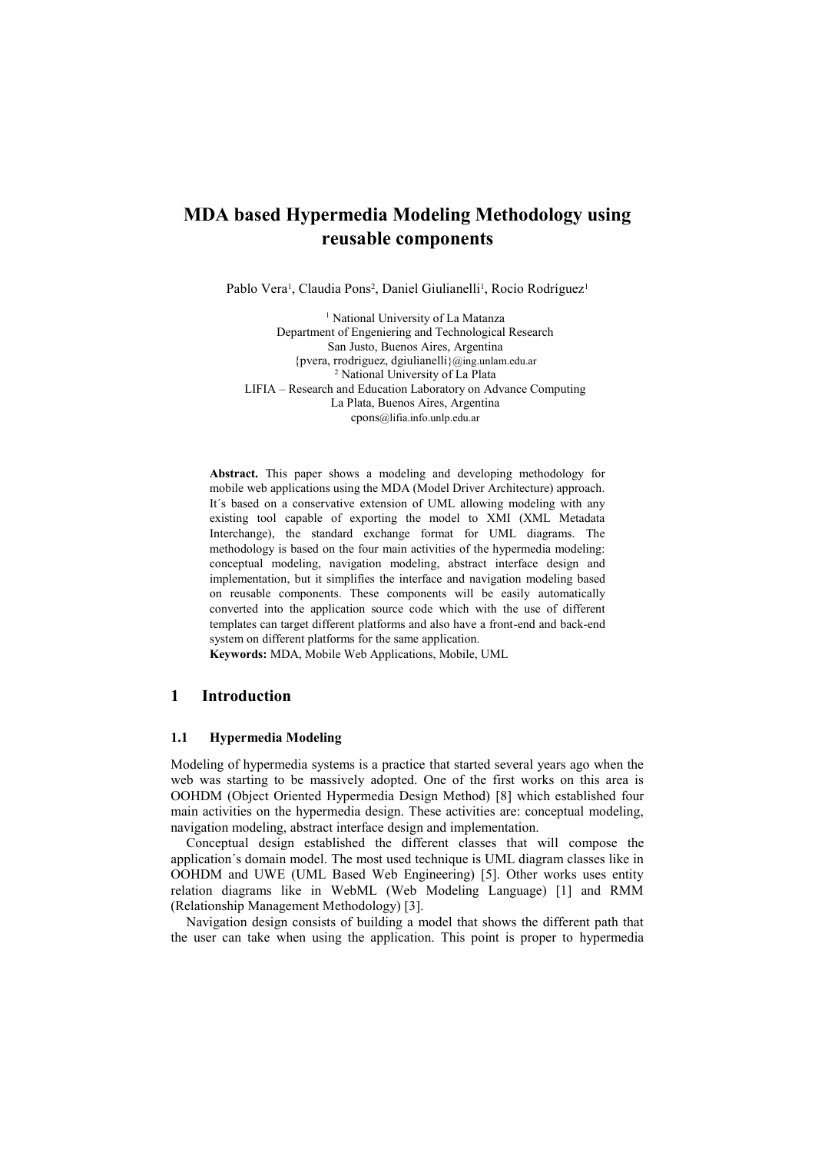# **MDA based Hypermedia Modeling Methodology using reusable components**

Pablo Vera<sup>1</sup>, Claudia Pons<sup>2</sup>, Daniel Giulianelli<sup>1</sup>, Rocío Rodríguez<sup>1</sup>

<sup>1</sup> National University of La Matanza Department of Engeniering and Technological Research San Justo, Buenos Aires, Argentina {pvera, rrodriguez, dgiulianelli}@ing.unlam.edu.ar <sup>2</sup> National University of La Plata LIFIA – Research and Education Laboratory on Advance Computing La Plata, Buenos Aires, Argentina cpons@lifia.info.unlp.edu.ar

**Abstract.** This paper shows a modeling and developing methodology for mobile web applications using the MDA (Model Driver Architecture) approach. It´s based on a conservative extension of UML allowing modeling with any existing tool capable of exporting the model to XMI (XML Metadata Interchange), the standard exchange format for UML diagrams. The methodology is based on the four main activities of the hypermedia modeling: conceptual modeling, navigation modeling, abstract interface design and implementation, but it simplifies the interface and navigation modeling based on reusable components. These components will be easily automatically converted into the application source code which with the use of different templates can target different platforms and also have a front-end and back-end system on different platforms for the same application.

**Keywords:** MDA, Mobile Web Applications, Mobile, UML

## **1 Introduction**

#### **1.1 Hypermedia Modeling**

Modeling of hypermedia systems is a practice that started several years ago when the web was starting to be massively adopted. One of the first works on this area is OOHDM (Object Oriented Hypermedia Design Method) [8] which established four main activities on the hypermedia design. These activities are: conceptual modeling, navigation modeling, abstract interface design and implementation.

Conceptual design established the different classes that will compose the application´s domain model. The most used technique is UML diagram classes like in OOHDM and UWE (UML Based Web Engineering) [5]. Other works uses entity relation diagrams like in WebML (Web Modeling Language) [1] and RMM (Relationship Management Methodology) [3].

Navigation design consists of building a model that shows the different path that the user can take when using the application. This point is proper to hypermedia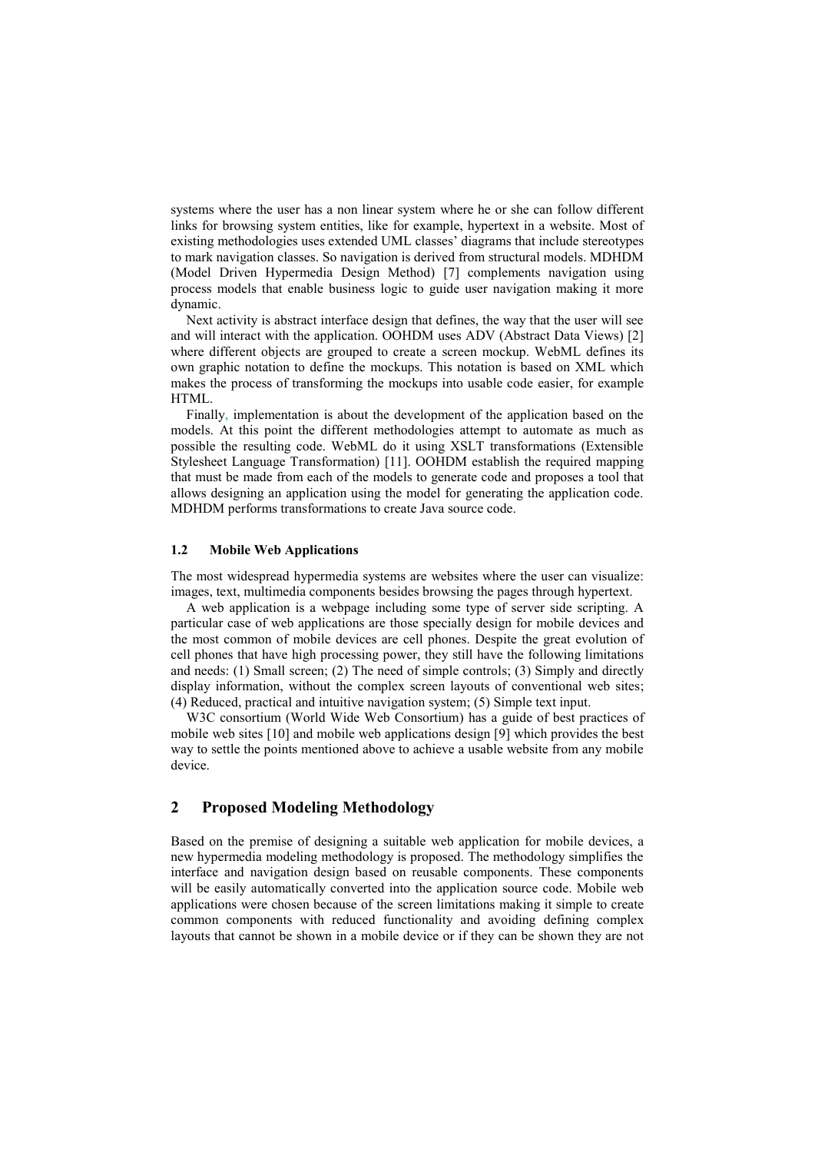systems where the user has a non linear system where he or she can follow different links for browsing system entities, like for example, hypertext in a website. Most of existing methodologies uses extended UML classes' diagrams that include stereotypes to mark navigation classes. So navigation is derived from structural models. MDHDM (Model Driven Hypermedia Design Method) [7] complements navigation using process models that enable business logic to guide user navigation making it more dynamic.

Next activity is abstract interface design that defines, the way that the user will see and will interact with the application. OOHDM uses ADV (Abstract Data Views) [2] where different objects are grouped to create a screen mockup. WebML defines its own graphic notation to define the mockups. This notation is based on XML which makes the process of transforming the mockups into usable code easier, for example **HTML** 

Finally, implementation is about the development of the application based on the models. At this point the different methodologies attempt to automate as much as possible the resulting code. WebML do it using XSLT transformations (Extensible Stylesheet Language Transformation) [11]. OOHDM establish the required mapping that must be made from each of the models to generate code and proposes a tool that allows designing an application using the model for generating the application code. MDHDM performs transformations to create Java source code.

#### **1.2 Mobile Web Applications**

The most widespread hypermedia systems are websites where the user can visualize: images, text, multimedia components besides browsing the pages through hypertext.

A web application is a webpage including some type of server side scripting. A particular case of web applications are those specially design for mobile devices and the most common of mobile devices are cell phones. Despite the great evolution of cell phones that have high processing power, they still have the following limitations and needs: (1) Small screen; (2) The need of simple controls; (3) Simply and directly display information, without the complex screen layouts of conventional web sites; (4) Reduced, practical and intuitive navigation system; (5) Simple text input.

W3C consortium (World Wide Web Consortium) has a guide of best practices of mobile web sites [10] and mobile web applications design [9] which provides the best way to settle the points mentioned above to achieve a usable website from any mobile device.

# **2 Proposed Modeling Methodology**

Based on the premise of designing a suitable web application for mobile devices, a new hypermedia modeling methodology is proposed. The methodology simplifies the interface and navigation design based on reusable components. These components will be easily automatically converted into the application source code. Mobile web applications were chosen because of the screen limitations making it simple to create common components with reduced functionality and avoiding defining complex layouts that cannot be shown in a mobile device or if they can be shown they are not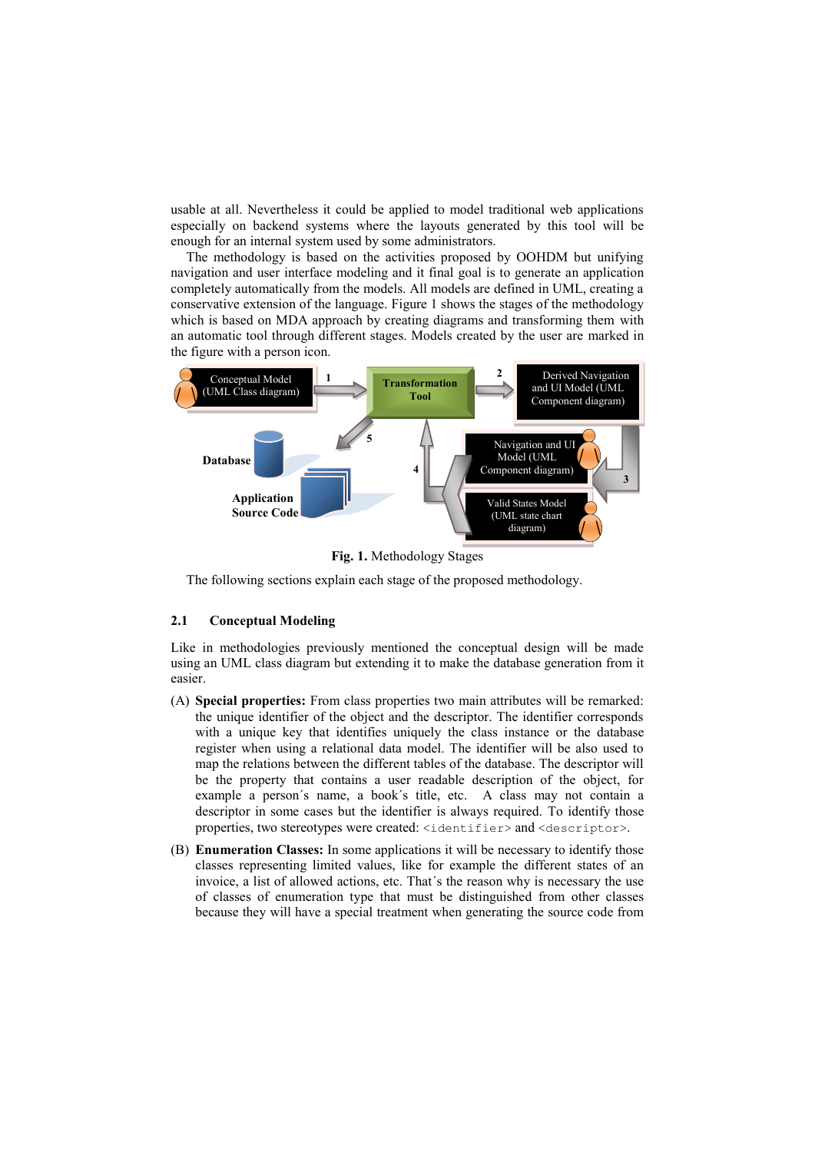usable at all. Nevertheless it could be applied to model traditional web applications especially on backend systems where the layouts generated by this tool will be enough for an internal system used by some administrators.

The methodology is based on the activities proposed by OOHDM but unifying navigation and user interface modeling and it final goal is to generate an application completely automatically from the models. All models are defined in UML, creating a conservative extension of the language. Figure 1 shows the stages of the methodology which is based on MDA approach by creating diagrams and transforming them with an automatic tool through different stages. Models created by the user are marked in the figure with a person icon.



**Fig. 1.** Methodology Stages

The following sections explain each stage of the proposed methodology.

### **2.1 Conceptual Modeling**

Like in methodologies previously mentioned the conceptual design will be made using an UML class diagram but extending it to make the database generation from it easier.

- (A) **Special properties:** From class properties two main attributes will be remarked: the unique identifier of the object and the descriptor. The identifier corresponds with a unique key that identifies uniquely the class instance or the database register when using a relational data model. The identifier will be also used to map the relations between the different tables of the database. The descriptor will be the property that contains a user readable description of the object, for example a person´s name, a book´s title, etc. A class may not contain a descriptor in some cases but the identifier is always required. To identify those properties, two stereotypes were created: <identifier> and <descriptor>.
- (B) **Enumeration Classes:** In some applications it will be necessary to identify those classes representing limited values, like for example the different states of an invoice, a list of allowed actions, etc. That´s the reason why is necessary the use of classes of enumeration type that must be distinguished from other classes because they will have a special treatment when generating the source code from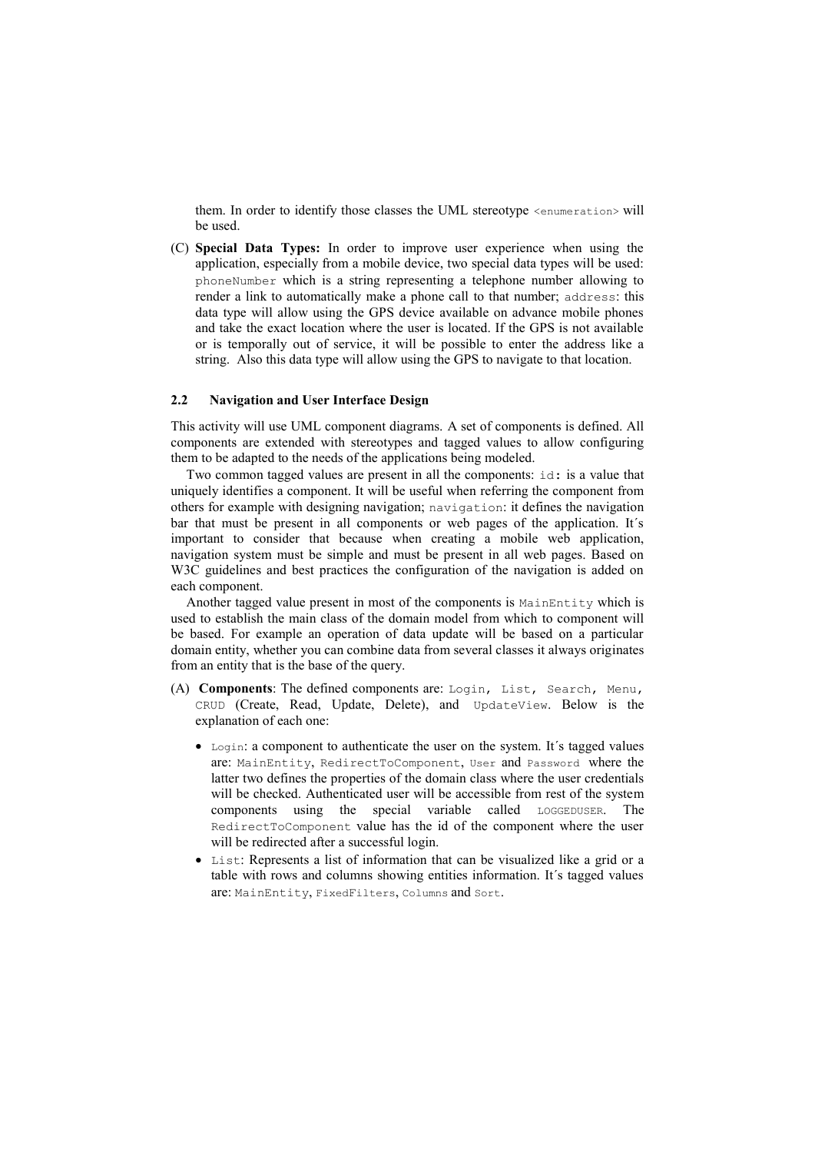them. In order to identify those classes the UML stereotype <enumeration> will be used.

(C) **Special Data Types:** In order to improve user experience when using the application, especially from a mobile device, two special data types will be used: phoneNumber which is a string representing a telephone number allowing to render a link to automatically make a phone call to that number; address: this data type will allow using the GPS device available on advance mobile phones and take the exact location where the user is located. If the GPS is not available or is temporally out of service, it will be possible to enter the address like a string. Also this data type will allow using the GPS to navigate to that location.

### **2.2 Navigation and User Interface Design**

This activity will use UML component diagrams. A set of components is defined. All components are extended with stereotypes and tagged values to allow configuring them to be adapted to the needs of the applications being modeled.

Two common tagged values are present in all the components: id: is a value that uniquely identifies a component. It will be useful when referring the component from others for example with designing navigation; navigation: it defines the navigation bar that must be present in all components or web pages of the application. It´s important to consider that because when creating a mobile web application, navigation system must be simple and must be present in all web pages. Based on W3C guidelines and best practices the configuration of the navigation is added on each component.

Another tagged value present in most of the components is MainEntity which is used to establish the main class of the domain model from which to component will be based. For example an operation of data update will be based on a particular domain entity, whether you can combine data from several classes it always originates from an entity that is the base of the query.

- (A) **Components**: The defined components are: Login, List, Search, Menu, CRUD (Create, Read, Update, Delete), and UpdateView. Below is the explanation of each one:
	- Login: a component to authenticate the user on the system. It's tagged values are: MainEntity, RedirectToComponent, User and Password where the latter two defines the properties of the domain class where the user credentials will be checked. Authenticated user will be accessible from rest of the system components using the special variable called LOGGEDUSER. The RedirectToComponent value has the id of the component where the user will be redirected after a successful login.
	- List: Represents a list of information that can be visualized like a grid or a table with rows and columns showing entities information. It´s tagged values are: MainEntity, FixedFilters, Columns and Sort.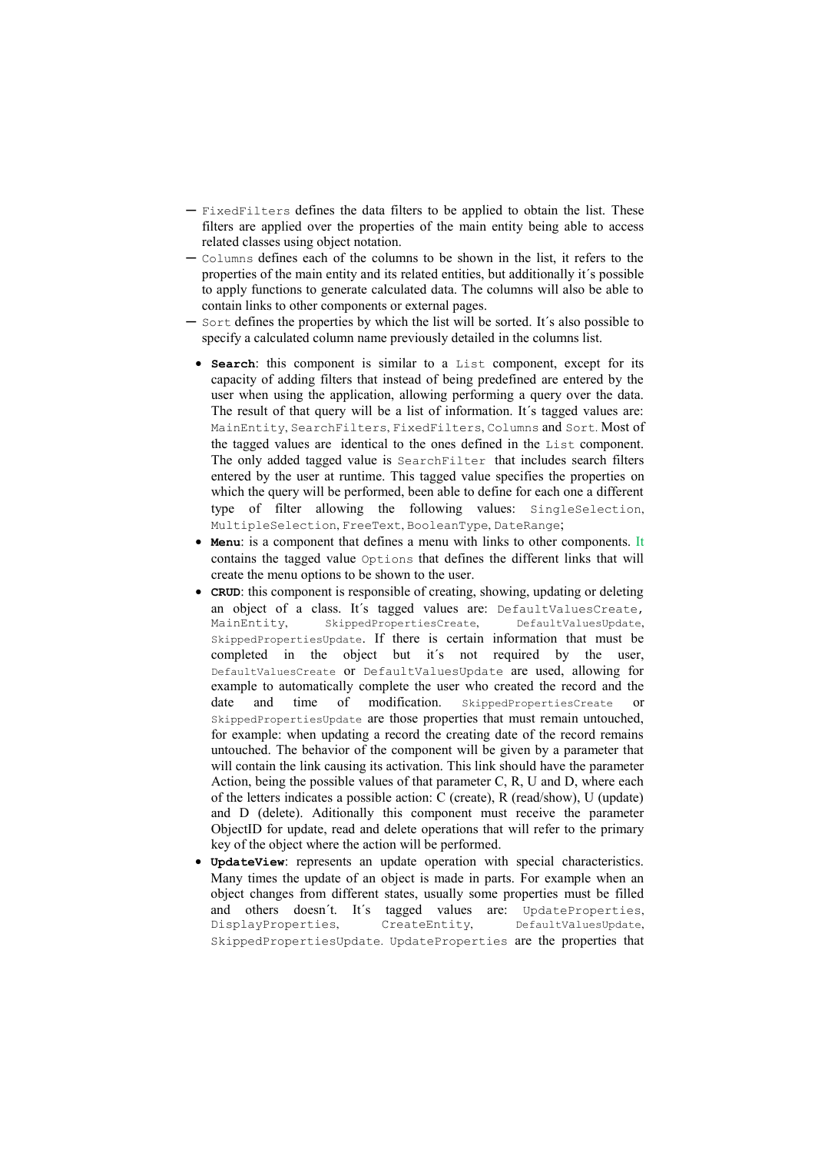- ─ FixedFilters defines the data filters to be applied to obtain the list. These filters are applied over the properties of the main entity being able to access related classes using object notation.
- ─ Columns defines each of the columns to be shown in the list, it refers to the properties of the main entity and its related entities, but additionally it´s possible to apply functions to generate calculated data. The columns will also be able to contain links to other components or external pages.
- Sort defines the properties by which the list will be sorted. It's also possible to specify a calculated column name previously detailed in the columns list.
- **Search**: this component is similar to a List component, except for its capacity of adding filters that instead of being predefined are entered by the user when using the application, allowing performing a query over the data. The result of that query will be a list of information. It´s tagged values are: MainEntity, SearchFilters, FixedFilters, Columns and Sort. Most of the tagged values are identical to the ones defined in the List component. The only added tagged value is SearchFilter that includes search filters entered by the user at runtime. This tagged value specifies the properties on which the query will be performed, been able to define for each one a different type of filter allowing the following values: SingleSelection, MultipleSelection, FreeText, BooleanType, DateRange;
- **Menu**: is a component that defines a menu with links to other components. It contains the tagged value Options that defines the different links that will create the menu options to be shown to the user.
- **CRUD**: this component is responsible of creating, showing, updating or deleting an object of a class. It's tagged values are: DefaultValuesCreate,<br>MainEntity, SkippedPropertiesCreate, DefaultValuesUpdate, MainEntity, SkippedPropertiesCreate, SkippedPropertiesUpdate. If there is certain information that must be completed in the object but it´s not required by the user, DefaultValuesCreate or DefaultValuesUpdate are used, allowing for example to automatically complete the user who created the record and the date and time of modification. SkippedPropertiesCreate or SkippedPropertiesUpdate are those properties that must remain untouched, for example: when updating a record the creating date of the record remains untouched. The behavior of the component will be given by a parameter that will contain the link causing its activation. This link should have the parameter Action, being the possible values of that parameter C, R, U and D, where each of the letters indicates a possible action: C (create), R (read/show), U (update) and D (delete). Aditionally this component must receive the parameter ObjectID for update, read and delete operations that will refer to the primary key of the object where the action will be performed.
- **UpdateView**: represents an update operation with special characteristics. Many times the update of an object is made in parts. For example when an object changes from different states, usually some properties must be filled and others doesn´t. It´s tagged values are: UpdateProperties, DisplayProperties, CreateEntity, DefaultValuesUpdate, SkippedPropertiesUpdate. UpdateProperties are the properties that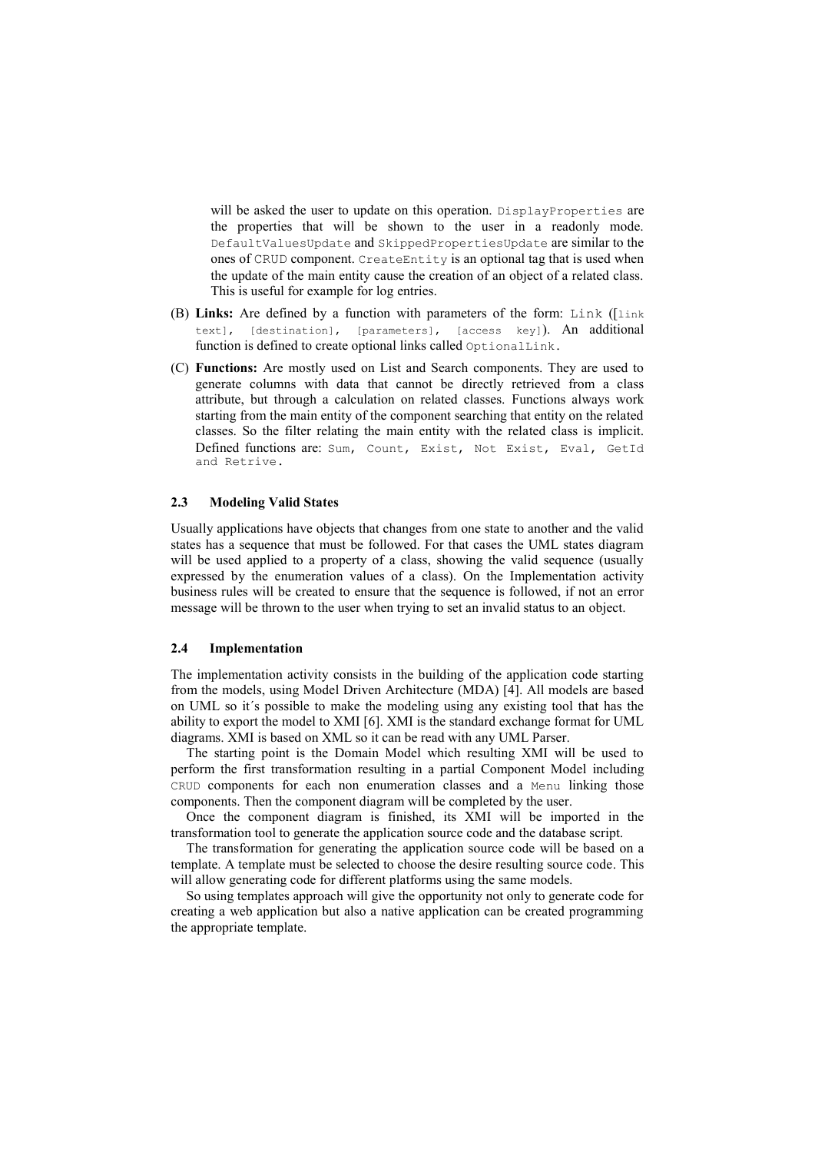will be asked the user to update on this operation. DisplayProperties are the properties that will be shown to the user in a readonly mode. DefaultValuesUpdate and SkippedPropertiesUpdate are similar to the ones of CRUD component. CreateEntity is an optional tag that is used when the update of the main entity cause the creation of an object of a related class. This is useful for example for log entries.

- (B) **Links:** Are defined by a function with parameters of the form: Link ([link text], [destination], [parameters], [access key]). An additional function is defined to create optional links called OptionalLink.
- (C) **Functions:** Are mostly used on List and Search components. They are used to generate columns with data that cannot be directly retrieved from a class attribute, but through a calculation on related classes. Functions always work starting from the main entity of the component searching that entity on the related classes. So the filter relating the main entity with the related class is implicit. Defined functions are: Sum, Count, Exist, Not Exist, Eval, GetId and Retrive.

### **2.3 Modeling Valid States**

Usually applications have objects that changes from one state to another and the valid states has a sequence that must be followed. For that cases the UML states diagram will be used applied to a property of a class, showing the valid sequence (usually expressed by the enumeration values of a class). On the Implementation activity business rules will be created to ensure that the sequence is followed, if not an error message will be thrown to the user when trying to set an invalid status to an object.

### **2.4 Implementation**

The implementation activity consists in the building of the application code starting from the models, using Model Driven Architecture (MDA) [4]. All models are based on UML so it´s possible to make the modeling using any existing tool that has the ability to export the model to XMI [6]. XMI is the standard exchange format for UML diagrams. XMI is based on XML so it can be read with any UML Parser.

The starting point is the Domain Model which resulting XMI will be used to perform the first transformation resulting in a partial Component Model including CRUD components for each non enumeration classes and a Menu linking those components. Then the component diagram will be completed by the user.

Once the component diagram is finished, its XMI will be imported in the transformation tool to generate the application source code and the database script.

The transformation for generating the application source code will be based on a template. A template must be selected to choose the desire resulting source code. This will allow generating code for different platforms using the same models.

So using templates approach will give the opportunity not only to generate code for creating a web application but also a native application can be created programming the appropriate template.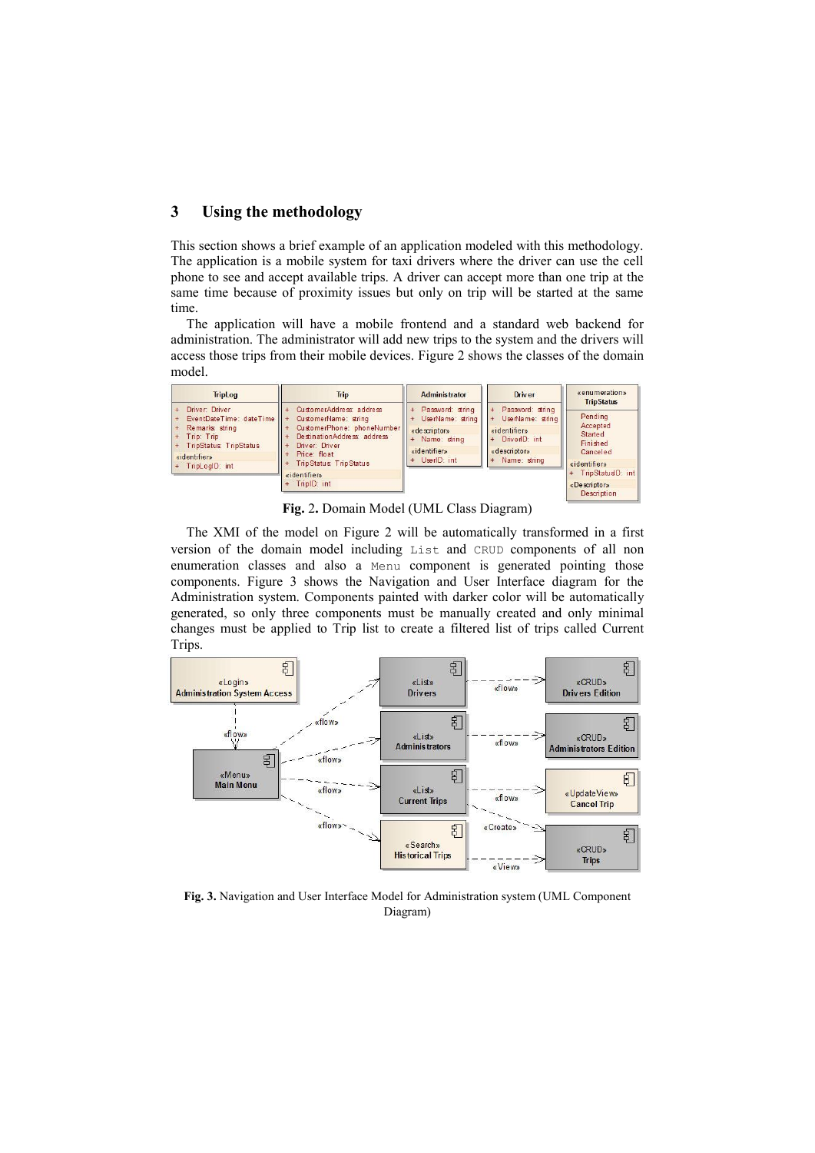# **3 Using the methodology**

This section shows a brief example of an application modeled with this methodology. The application is a mobile system for taxi drivers where the driver can use the cell phone to see and accept available trips. A driver can accept more than one trip at the same time because of proximity issues but only on trip will be started at the same time.

The application will have a mobile frontend and a standard web backend for administration. The administrator will add new trips to the system and the drivers will access those trips from their mobile devices. Figure 2 shows the classes of the domain model.

| <b>TripLog</b>                                                                                                                                 | <b>Trip</b>                                                                                                                                                                    | <b>Administrator</b>                                                                                | <b>Driver</b>                                                                                                | «enumeration»<br><b>TripStatus</b>                                     |  |
|------------------------------------------------------------------------------------------------------------------------------------------------|--------------------------------------------------------------------------------------------------------------------------------------------------------------------------------|-----------------------------------------------------------------------------------------------------|--------------------------------------------------------------------------------------------------------------|------------------------------------------------------------------------|--|
| Driver: Driver<br>EventDateTime: dateTime<br>Remarks: string<br>Trip: Trip<br><b>TripStatus TripStatus</b><br>«identifier»<br>+ TripLogID: int | CustomerAddress address<br>CustomerName: string<br>CustomerPhone: phoneNumber<br>DestinationAddress address<br>Driver: Driver<br>Price: float<br><b>TripStatus: TripStatus</b> | Password: string<br>UserName: string<br>«descriptor»<br>Name: string<br>«identifier»<br>UserID: int | Password: string<br>UserName: string<br>$+$<br>«identifier»<br>DriverID: int<br>«descriptor»<br>Name: string | Pending<br>Accepted<br>Started<br>Finished<br>Canceled<br>«identifier» |  |
|                                                                                                                                                | «identifier»<br>+ TripID: int                                                                                                                                                  |                                                                                                     |                                                                                                              | + TripStatusD: int<br>«Descriptor»<br>Decription                       |  |

**Fig.** 2**.** Domain Model (UML Class Diagram)

The XMI of the model on Figure 2 will be automatically transformed in a first version of the domain model including List and CRUD components of all non enumeration classes and also a Menu component is generated pointing those components. Figure 3 shows the Navigation and User Interface diagram for the Administration system. Components painted with darker color will be automatically generated, so only three components must be manually created and only minimal changes must be applied to Trip list to create a filtered list of trips called Current Trips.



**Fig. 3.** Navigation and User Interface Model for Administration system (UML Component Diagram)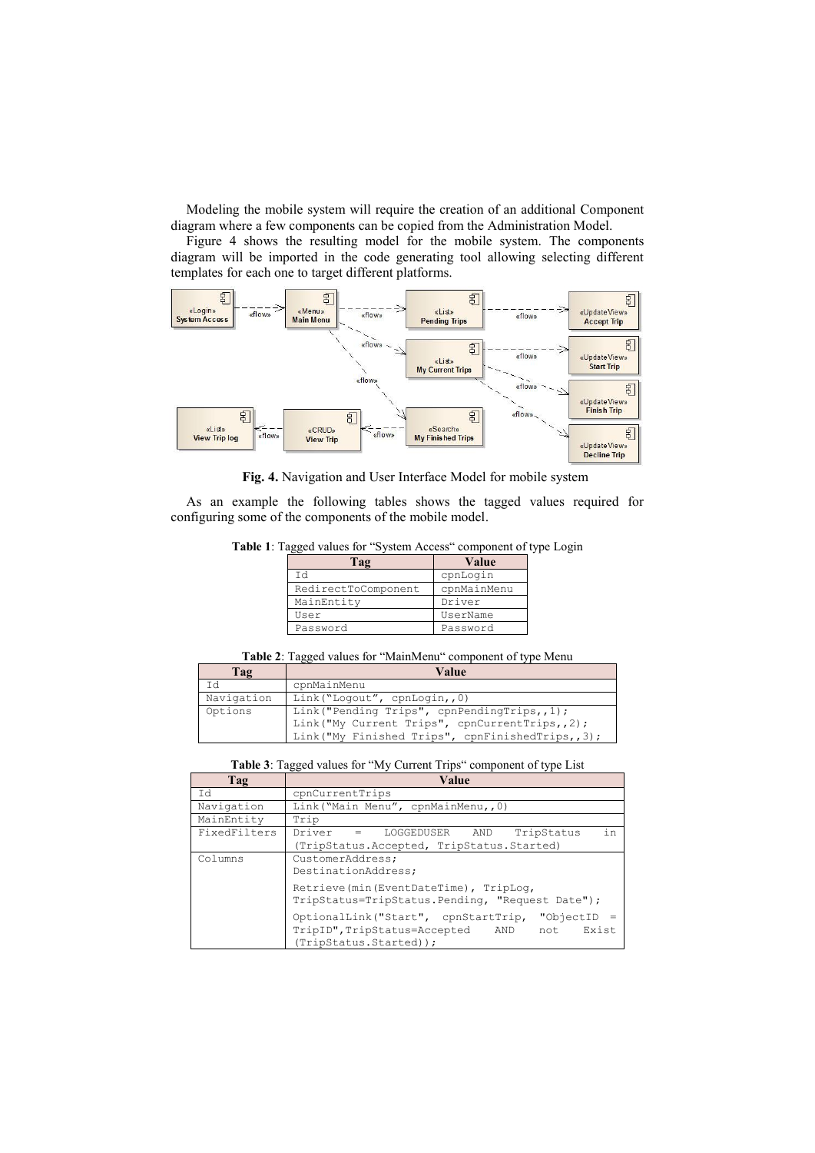Modeling the mobile system will require the creation of an additional Component diagram where a few components can be copied from the Administration Model.

Figure 4 shows the resulting model for the mobile system. The components diagram will be imported in the code generating tool allowing selecting different templates for each one to target different platforms.



**Fig. 4.** Navigation and User Interface Model for mobile system

As an example the following tables shows the tagged values required for configuring some of the components of the mobile model.

**Table 1**: Tagged values for "System Access" component of type Login

| Tag                 | Value       |
|---------------------|-------------|
| Td                  | cpnLogin    |
| RedirectToComponent | cpnMainMenu |
| MainEntity          | Driver      |
| User                | UserName    |
| Password            | Password    |
|                     |             |

| Table 2: Tagged values for "MainMenu" component of type Menu |  |
|--------------------------------------------------------------|--|
|--------------------------------------------------------------|--|

| Tag        | Value                                                                                                                                               |
|------------|-----------------------------------------------------------------------------------------------------------------------------------------------------|
| Ιd         | cpnMainMenu                                                                                                                                         |
| Navigation | Link ("Logout", cpnLogin,,0)                                                                                                                        |
| Options    | Link ("Pending Trips", cpnPendingTrips,,1);<br>Link ("My Current Trips", cpnCurrentTrips,, 2);<br>Link ("My Finished Trips", cpnFinishedTrips,, 3); |

#### **Table 3**: Tagged values for "My Current Trips" component of type List

| Tag          | Value                                                                                                                             |
|--------------|-----------------------------------------------------------------------------------------------------------------------------------|
| Id           | cpnCurrentTrips                                                                                                                   |
| Navigation   | Link ("Main Menu", cpnMainMenu,, 0)                                                                                               |
| MainEntity   | Trip                                                                                                                              |
| FixedFilters | in<br>Driver = LOGGEDUSER<br>TripStatus<br>AND<br>(TripStatus.Accepted, TripStatus.Started)                                       |
| Columns      | CustomerAddress;<br>DestinationAddress;                                                                                           |
|              | Retrieve (min (EventDateTime), TripLog,<br>TripStatus=TripStatus. Pending, "Request Date");                                       |
|              | "ObjectID<br>OptionalLink("Start", cpnStartTrip,<br>TripID", TripStatus=Accepted<br>Exist<br>AND<br>not<br>(TripStatus.Started)); |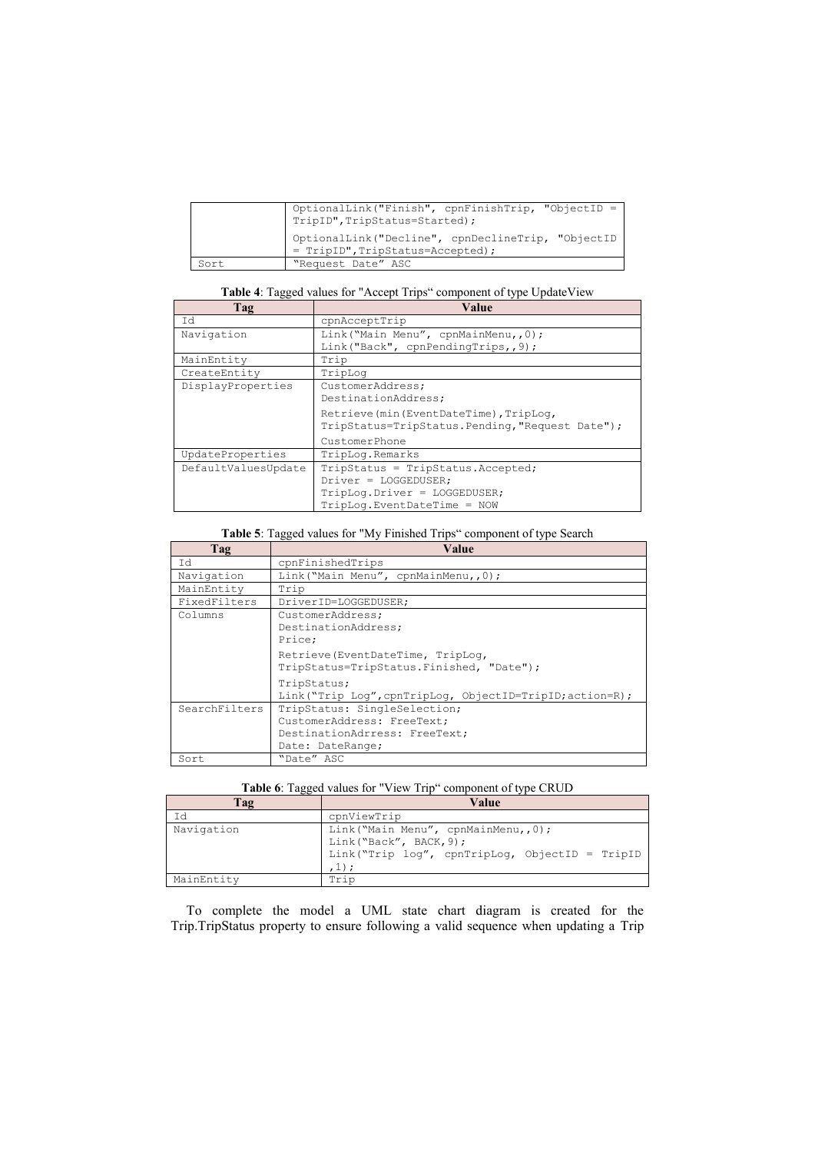|      | OptionalLink("Finish", cpnFinishTrip, "ObjectID =<br>TripID", TripStatus=Started);    |
|------|---------------------------------------------------------------------------------------|
|      | OptionalLink("Decline", cpnDeclineTrip, "ObjectID<br>= TripID", TripStatus=Accepted); |
| Sort | "Request Date" ASC                                                                    |

**Table 4**: Tagged values for "Accept Trips" component of type UpdateView

| Tag                 | Value                                            |
|---------------------|--------------------------------------------------|
| Id                  | cpnAcceptTrip                                    |
| Navigation          | Link ("Main Menu", cpnMainMenu,, 0);             |
|                     | Link("Back", cpnPendingTrips,, 9);               |
| MainEntity          | Trip                                             |
| CreateEntity        | TripLog                                          |
| DisplayProperties   | CustomerAddress;                                 |
|                     | DestinationAddress;                              |
|                     | Retrieve (min (EventDateTime), TripLog,          |
|                     | TripStatus=TripStatus. Pending, "Request Date"); |
|                     | CustomerPhone                                    |
| UpdateProperties    | TripLog.Remarks                                  |
| DefaultValuesUpdate | TripStatus = TripStatus. Accepted;               |
|                     | $Diriver = LOGGEDUSER;$                          |
|                     | TripLog.Driver = LOGGEDUSER;                     |
|                     | TripLog. EventDateTime = NOW                     |

## **Table 5**: Tagged values for "My Finished Trips" component of type Search

| Tag           | Value                                                                                                           |
|---------------|-----------------------------------------------------------------------------------------------------------------|
| Id            | cpnFinishedTrips                                                                                                |
| Navigation    | Link ("Main Menu", cpnMainMenu,, 0);                                                                            |
| MainEntity    | Trip                                                                                                            |
| FixedFilters  | DriverID=LOGGEDUSER;                                                                                            |
| Columns       | CustomerAddress;<br>DestinationAddress;<br>Price:                                                               |
|               | Retrieve (EventDateTime, TripLog,<br>TripStatus=TripStatus. Finished, "Date");                                  |
|               | TripStatus;<br>Link ("Trip Loq", cpnTripLoq, ObjectID=TripID; action=R);                                        |
| SearchFilters | TripStatus: SingleSelection;<br>CustomerAddress: FreeText;<br>DestinationAdrress: FreeText;<br>Date: DateRange; |
| Sort          | "Date" ASC                                                                                                      |

| <b>Table 6:</b> Tagged values for "View Trip" component of type CRUD |  |  |
|----------------------------------------------------------------------|--|--|
|----------------------------------------------------------------------|--|--|

| Tag        | Value                                                                                                                       |
|------------|-----------------------------------------------------------------------------------------------------------------------------|
| Ιd         | cpnViewTrip                                                                                                                 |
| Navigation | Link ("Main Menu", cpnMainMenu,, 0);<br>Link("Back", BACK, 9);<br>Link("Trip log", cpnTripLog, ObjectID = TripID<br>$,1)$ ; |
| MainEntity | Trin                                                                                                                        |

To complete the model a UML state chart diagram is created for the Trip.TripStatus property to ensure following a valid sequence when updating a Trip